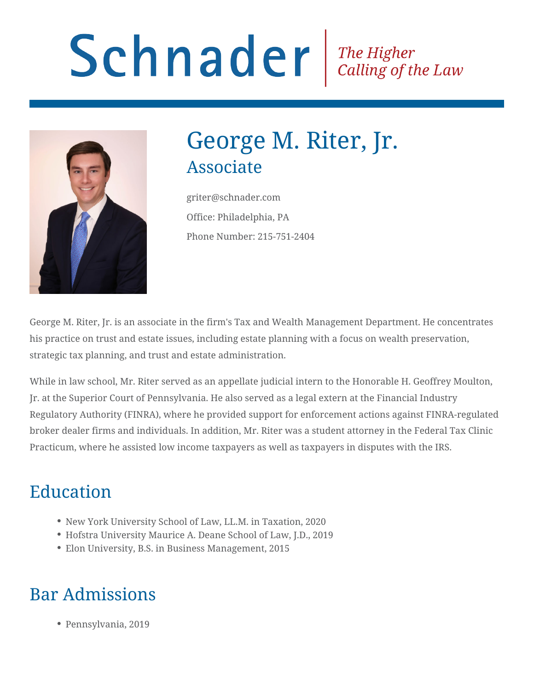# Schnader Fine Higher Calling of the Law



# George M. Riter, Jr. Associate

griter@schnader.com Office: Philadelphia, PA Phone Number: 215-751-2404

George M. Riter, Jr. is an associate in the firm's Tax and Wealth Management Department. He concentrates his practice on trust and estate issues, including estate planning with a focus on wealth preservation, strategic tax planning, and trust and estate administration.

While in law school, Mr. Riter served as an appellate judicial intern to the Honorable H. Geoffrey Moulton, Jr. at the Superior Court of Pennsylvania. He also served as a legal extern at the Financial Industry Regulatory Authority (FINRA), where he provided support for enforcement actions against FINRA-regulated broker dealer firms and individuals. In addition, Mr. Riter was a student attorney in the Federal Tax Clinic Practicum, where he assisted low income taxpayers as well as taxpayers in disputes with the IRS.

# Education

- New York University School of Law, LL.M. in Taxation, 2020
- Hofstra University Maurice A. Deane School of Law, J.D., 2019
- Elon University, B.S. in Business Management, 2015

#### Bar Admissions

Pennsylvania, 2019